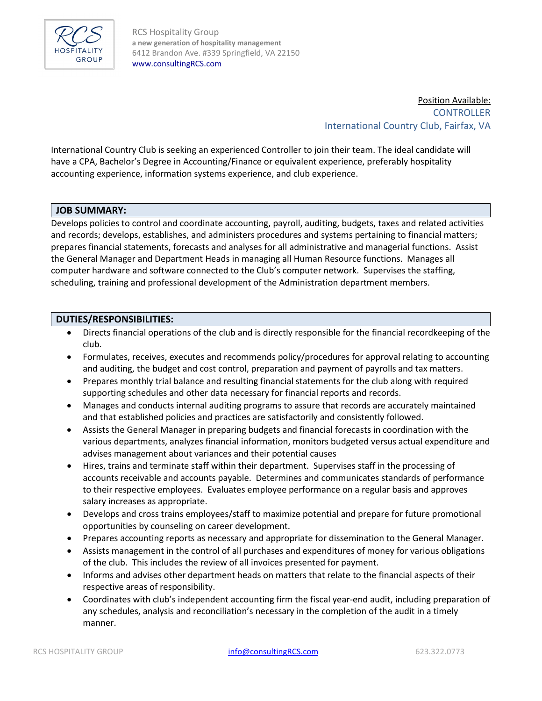

RCS Hospitality Group **a new generation of hospitality management** 6412 Brandon Ave. #339 Springfield, VA 22150 [www.consultingRCS.com](http://www.consultingrcs.com/)

> Position Available: **CONTROLLER** International Country Club, Fairfax, VA

International Country Club is seeking an experienced Controller to join their team. The ideal candidate will have a CPA, Bachelor's Degree in Accounting/Finance or equivalent experience, preferably hospitality accounting experience, information systems experience, and club experience.

## **JOB SUMMARY:**

Develops policies to control and coordinate accounting, payroll, auditing, budgets, taxes and related activities and records; develops, establishes, and administers procedures and systems pertaining to financial matters; prepares financial statements, forecasts and analyses for all administrative and managerial functions. Assist the General Manager and Department Heads in managing all Human Resource functions. Manages all computer hardware and software connected to the Club's computer network. Supervises the staffing, scheduling, training and professional development of the Administration department members.

#### **DUTIES/RESPONSIBILITIES:**

- Directs financial operations of the club and is directly responsible for the financial recordkeeping of the club.
- Formulates, receives, executes and recommends policy/procedures for approval relating to accounting and auditing, the budget and cost control, preparation and payment of payrolls and tax matters.
- Prepares monthly trial balance and resulting financial statements for the club along with required supporting schedules and other data necessary for financial reports and records.
- Manages and conducts internal auditing programs to assure that records are accurately maintained and that established policies and practices are satisfactorily and consistently followed.
- Assists the General Manager in preparing budgets and financial forecasts in coordination with the various departments, analyzes financial information, monitors budgeted versus actual expenditure and advises management about variances and their potential causes
- Hires, trains and terminate staff within their department. Supervises staff in the processing of accounts receivable and accounts payable. Determines and communicates standards of performance to their respective employees. Evaluates employee performance on a regular basis and approves salary increases as appropriate.
- Develops and cross trains employees/staff to maximize potential and prepare for future promotional opportunities by counseling on career development.
- Prepares accounting reports as necessary and appropriate for dissemination to the General Manager.
- Assists management in the control of all purchases and expenditures of money for various obligations of the club. This includes the review of all invoices presented for payment.
- Informs and advises other department heads on matters that relate to the financial aspects of their respective areas of responsibility.
- Coordinates with club's independent accounting firm the fiscal year-end audit, including preparation of any schedules, analysis and reconciliation's necessary in the completion of the audit in a timely manner.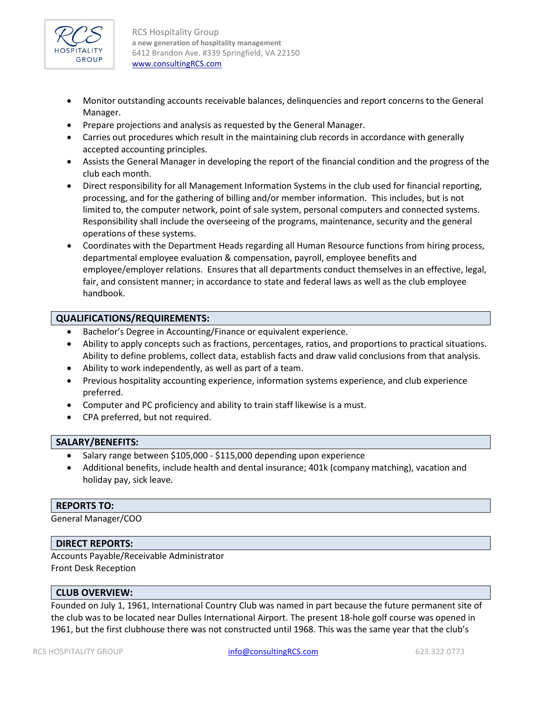

RCS Hospitality Group **a new generation of hospitality management** 6412 Brandon Ave. #339 Springfield, VA 22150 [www.consultingRCS.com](http://www.consultingrcs.com/)

- Monitor outstanding accounts receivable balances, delinquencies and report concerns to the General Manager.
- Prepare projections and analysis as requested by the General Manager.
- Carries out procedures which result in the maintaining club records in accordance with generally accepted accounting principles.
- Assists the General Manager in developing the report of the financial condition and the progress of the club each month.
- Direct responsibility for all Management Information Systems in the club used for financial reporting, processing, and for the gathering of billing and/or member information. This includes, but is not limited to, the computer network, point of sale system, personal computers and connected systems. Responsibility shall include the overseeing of the programs, maintenance, security and the general operations of these systems.
- Coordinates with the Department Heads regarding all Human Resource functions from hiring process, departmental employee evaluation & compensation, payroll, employee benefits and employee/employer relations. Ensures that all departments conduct themselves in an effective, legal, fair, and consistent manner; in accordance to state and federal laws as well as the club employee handbook.

# **QUALIFICATIONS/REQUIREMENTS:**

- Bachelor's Degree in Accounting/Finance or equivalent experience.
- Ability to apply concepts such as fractions, percentages, ratios, and proportions to practical situations. Ability to define problems, collect data, establish facts and draw valid conclusions from that analysis.
- Ability to work independently, as well as part of a team.
- Previous hospitality accounting experience, information systems experience, and club experience preferred.
- Computer and PC proficiency and ability to train staff likewise is a must.
- CPA preferred, but not required.

## **SALARY/BENEFITS:**

- Salary range between \$105,000 \$115,000 depending upon experience
- Additional benefits, include health and dental insurance; 401k (company matching), vacation and holiday pay, sick leave.

## **REPORTS TO:**

General Manager/COO

## **DIRECT REPORTS:**

Accounts Payable/Receivable Administrator Front Desk Reception

## **CLUB OVERVIEW:**

Founded on July 1, 1961, International Country Club was named in part because the future permanent site of the club was to be located near Dulles International Airport. The present 18-hole golf course was opened in 1961, but the first clubhouse there was not constructed until 1968. This was the same year that the club's